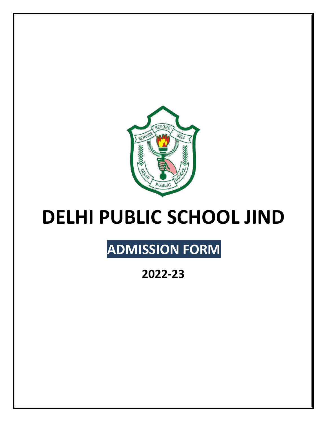

## **DELHI PUBLIC SCHOOL JIND**

## **ADMISSION FORM**

**2022-23**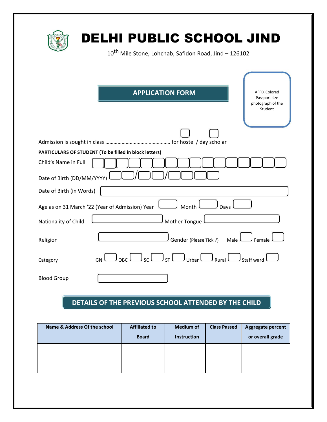| DELHI PUBLIC SCHOOL JIND<br>10 <sup>th</sup> Mile Stone, Lohchab, Safidon Road, Jind - 126102                                                                                      |
|------------------------------------------------------------------------------------------------------------------------------------------------------------------------------------|
| <b>APPLICATION FORM</b><br><b>AFFIX Colored</b><br>Passport size<br>photograph of the<br>Student                                                                                   |
|                                                                                                                                                                                    |
| PARTICULARS OF STUDENT (To be filled in block letters)<br>Child's Name in Full                                                                                                     |
| Date of Birth (DD/MM/YYYY)                                                                                                                                                         |
| Date of Birth (in Words)                                                                                                                                                           |
| Age as on 31 March '22 (Year of Admission) Year<br>Month<br>Days                                                                                                                   |
| Mother Tongue<br>Nationality of Child                                                                                                                                              |
| Male <sup>1</sup><br>Gender (Please Tick √)<br>Religion<br>Female                                                                                                                  |
| $\bigcup_{\mathsf{OBC}}\bigcup_{\mathsf{SC}}\bigcup_{\mathsf{ST}}\bigcup_{\mathsf{UTban}}\bigcup_{\mathsf{Rural}}\bigcup_{\mathsf{Rural}}\mathsf{S}$ taff ward<br>GN !<br>Category |
| <b>Blood Group</b>                                                                                                                                                                 |

## **DETAILS OF THE PREVIOUS SCHOOL ATTENDED BY THE CHILD**

| Name & Address Of the school | <b>Affiliated to</b><br><b>Board</b> | <b>Medium of</b><br><b>Instruction</b> | <b>Class Passed</b> | Aggregate percent<br>or overall grade |
|------------------------------|--------------------------------------|----------------------------------------|---------------------|---------------------------------------|
|                              |                                      |                                        |                     |                                       |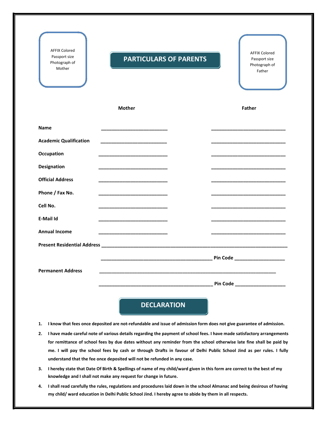| <b>AFFIX Colored</b><br>Passport size<br>Photograph of<br>Mother | <b>PARTICULARS OF PARENTS</b> | <b>AFFIX Colored</b><br>Passport size<br>Photograph of<br>Father |
|------------------------------------------------------------------|-------------------------------|------------------------------------------------------------------|
|                                                                  | <b>Mother</b>                 | <b>Father</b>                                                    |
| <b>Name</b>                                                      |                               |                                                                  |
| <b>Academic Qualification</b>                                    |                               |                                                                  |
| Occupation                                                       |                               |                                                                  |
| <b>Designation</b>                                               |                               |                                                                  |
| <b>Official Address</b>                                          |                               |                                                                  |
| Phone / Fax No.                                                  |                               |                                                                  |
| Cell No.                                                         |                               |                                                                  |
| E-Mail Id                                                        |                               |                                                                  |
| <b>Annual Income</b>                                             |                               |                                                                  |
|                                                                  |                               |                                                                  |
| <b>Permanent Address</b>                                         |                               | Pin Code _____________________                                   |
|                                                                  |                               | Pin Code ____________________                                    |

- **1. I know that fees once deposited are not-refundable and issue of admission form does not give guarantee of admission.**
- **2. I have made careful note of various details regarding the payment of school fees. I have made satisfactory arrangements for remittance of school fees by due dates without any reminder from the school otherwise late fine shall be paid by me. I will pay the school fees by cash or through Drafts in favour of Delhi Public School Jind as per rules. I fully understand that the fee once deposited will not be refunded in any case.**
- **3. I hereby state that Date Of Birth & Spellings of name of my child/ward given in this form are correct to the best of my knowledge and I shall not make any request for change in future.**
- **4. I shall read carefully the rules, regulations and procedures laid down in the school Almanac and being desirous of having my child/ ward education in Delhi Public School Jind. I hereby agree to abide by them in all respects.**